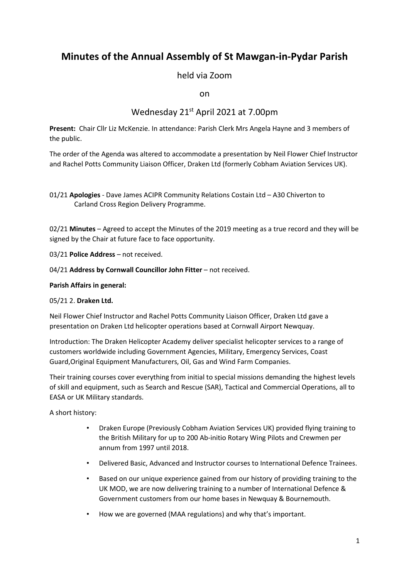# **Minutes of the Annual Assembly of St Mawgan-in-Pydar Parish**

held via Zoom

on

## Wednesday 21st April 2021 at 7.00pm

**Present:** Chair Cllr Liz McKenzie. In attendance: Parish Clerk Mrs Angela Hayne and 3 members of the public.

The order of the Agenda was altered to accommodate a presentation by Neil Flower Chief Instructor and Rachel Potts Community Liaison Officer, Draken Ltd (formerly Cobham Aviation Services UK).

01/21 **Apologies** - Dave James ACIPR Community Relations Costain Ltd – A30 Chiverton to Carland Cross Region Delivery Programme.

02/21 **Minutes** – Agreed to accept the Minutes of the 2019 meeting as a true record and they will be signed by the Chair at future face to face opportunity.

03/21 **Police Address** – not received.

04/21 **Address by Cornwall Councillor John Fitter** – not received.

#### **Parish Affairs in general:**

#### 05/21 2. **Draken Ltd.**

Neil Flower Chief Instructor and Rachel Potts Community Liaison Officer, Draken Ltd gave a presentation on Draken Ltd helicopter operations based at Cornwall Airport Newquay.

Introduction: The Draken Helicopter Academy deliver specialist helicopter services to a range of customers worldwide including Government Agencies, Military, Emergency Services, Coast Guard,Original Equipment Manufacturers, Oil, Gas and Wind Farm Companies.

Their training courses cover everything from initial to special missions demanding the highest levels of skill and equipment, such as Search and Rescue (SAR), Tactical and Commercial Operations, all to EASA or UK Military standards.

A short history:

- Draken Europe (Previously Cobham Aviation Services UK) provided flying training to the British Military for up to 200 Ab-initio Rotary Wing Pilots and Crewmen per annum from 1997 until 2018.
- Delivered Basic, Advanced and Instructor courses to International Defence Trainees.
- Based on our unique experience gained from our history of providing training to the UK MOD, we are now delivering training to a number of International Defence & Government customers from our home bases in Newquay & Bournemouth.
- How we are governed (MAA regulations) and why that's important.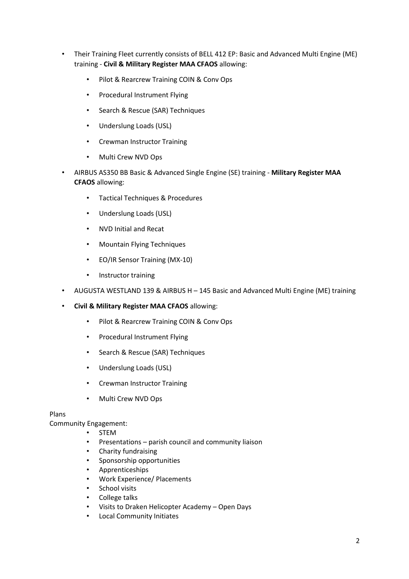- Their Training Fleet currently consists of BELL 412 EP: Basic and Advanced Multi Engine (ME) training - **Civil & Military Register MAA CFAOS** allowing:
	- Pilot & Rearcrew Training COIN & Conv Ops
	- Procedural Instrument Flying
	- Search & Rescue (SAR) Techniques
	- Underslung Loads (USL)
	- Crewman Instructor Training
	- Multi Crew NVD Ops
- AIRBUS AS350 BB Basic & Advanced Single Engine (SE) training **Military Register MAA CFAOS** allowing:
	- Tactical Techniques & Procedures
	- Underslung Loads (USL)
	- NVD Initial and Recat
	- Mountain Flying Techniques
	- EO/IR Sensor Training (MX-10)
	- Instructor training
- AUGUSTA WESTLAND 139 & AIRBUS H 145 Basic and Advanced Multi Engine (ME) training
- **Civil & Military Register MAA CFAOS** allowing:
	- Pilot & Rearcrew Training COIN & Conv Ops
	- Procedural Instrument Flying
	- Search & Rescue (SAR) Techniques
	- Underslung Loads (USL)
	- Crewman Instructor Training
	- Multi Crew NVD Ops

#### Plans

Community Engagement:

- **STEM**
- Presentations parish council and community liaison
- Charity fundraising
- Sponsorship opportunities
- Apprenticeships
- Work Experience/ Placements
- School visits
- College talks
- Visits to Draken Helicopter Academy Open Days
- Local Community Initiates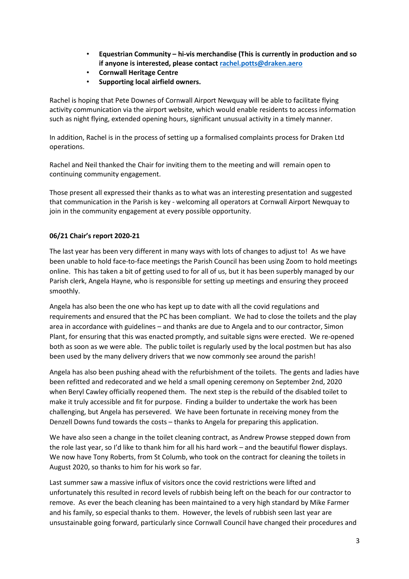- **Equestrian Community hi-vis merchandise (This is currently in production and so if anyone is interested, please contact rachel.potts@draken.aero**
- **Cornwall Heritage Centre**
- **Supporting local airfield owners.**

Rachel is hoping that Pete Downes of Cornwall Airport Newquay will be able to facilitate flying activity communication via the airport website, which would enable residents to access information such as night flying, extended opening hours, significant unusual activity in a timely manner.

In addition, Rachel is in the process of setting up a formalised complaints process for Draken Ltd operations.

Rachel and Neil thanked the Chair for inviting them to the meeting and will remain open to continuing community engagement.

Those present all expressed their thanks as to what was an interesting presentation and suggested that communication in the Parish is key - welcoming all operators at Cornwall Airport Newquay to join in the community engagement at every possible opportunity.

### **06/21 Chair's report 2020-21**

The last year has been very different in many ways with lots of changes to adjust to! As we have been unable to hold face-to-face meetings the Parish Council has been using Zoom to hold meetings online. This has taken a bit of getting used to for all of us, but it has been superbly managed by our Parish clerk, Angela Hayne, who is responsible for setting up meetings and ensuring they proceed smoothly.

Angela has also been the one who has kept up to date with all the covid regulations and requirements and ensured that the PC has been compliant. We had to close the toilets and the play area in accordance with guidelines – and thanks are due to Angela and to our contractor, Simon Plant, for ensuring that this was enacted promptly, and suitable signs were erected. We re-opened both as soon as we were able. The public toilet is regularly used by the local postmen but has also been used by the many delivery drivers that we now commonly see around the parish!

Angela has also been pushing ahead with the refurbishment of the toilets. The gents and ladies have been refitted and redecorated and we held a small opening ceremony on September 2nd, 2020 when Beryl Cawley officially reopened them. The next step is the rebuild of the disabled toilet to make it truly accessible and fit for purpose. Finding a builder to undertake the work has been challenging, but Angela has persevered. We have been fortunate in receiving money from the Denzell Downs fund towards the costs – thanks to Angela for preparing this application.

We have also seen a change in the toilet cleaning contract, as Andrew Prowse stepped down from the role last year, so I'd like to thank him for all his hard work – and the beautiful flower displays. We now have Tony Roberts, from St Columb, who took on the contract for cleaning the toilets in August 2020, so thanks to him for his work so far.

Last summer saw a massive influx of visitors once the covid restrictions were lifted and unfortunately this resulted in record levels of rubbish being left on the beach for our contractor to remove. As ever the beach cleaning has been maintained to a very high standard by Mike Farmer and his family, so especial thanks to them. However, the levels of rubbish seen last year are unsustainable going forward, particularly since Cornwall Council have changed their procedures and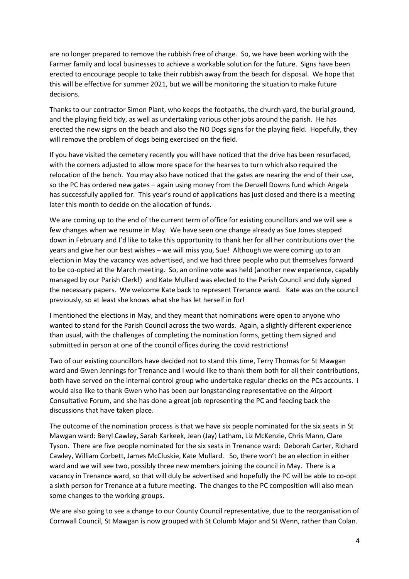are no longer prepared to remove the rubbish free of charge. So, we have been working with the Farmer family and local businesses to achieve a workable solution for the future. Signs have been erected to encourage people to take their rubbish away from the beach for disposal. We hope that this will be effective for summer 2021, but we will be monitoring the situation to make future decisions.

Thanks to our contractor Simon Plant, who keeps the footpaths, the church yard, the burial ground, and the playing field tidy, as well as undertaking various other jobs around the parish. He has erected the new signs on the beach and also the NO Dogs signs for the playing field. Hopefully, they will remove the problem of dogs being exercised on the field.

If you have visited the cemetery recently you will have noticed that the drive has been resurfaced, with the corners adjusted to allow more space for the hearses to turn which also required the relocation of the bench. You may also have noticed that the gates are nearing the end of their use, so the PC has ordered new gates – again using money from the Denzell Downs fund which Angela has successfully applied for. This year's round of applications has just closed and there is a meeting later this month to decide on the allocation of funds.

We are coming up to the end of the current term of office for existing councillors and we will see a few changes when we resume in May. We have seen one change already as Sue Jones stepped down in February and I'd like to take this opportunity to thank her for all her contributions over the years and give her our best wishes – we will miss you, Sue! Although we were coming up to an election in May the vacancy was advertised, and we had three people who put themselves forward to be co-opted at the March meeting. So, an online vote was held (another new experience, capably managed by our Parish Clerk!) and Kate Mullard was elected to the Parish Council and duly signed the necessary papers. We welcome Kate back to represent Trenance ward. Kate was on the council previously, so at least she knows what she has let herself in for!

I mentioned the elections in May, and they meant that nominations were open to anyone who wanted to stand for the Parish Council across the two wards. Again, a slightly different experience than usual, with the challenges of completing the nomination forms, getting them signed and submitted in person at one of the council offices during the covid restrictions!

Two of our existing councillors have decided not to stand this time, Terry Thomas for St Mawgan ward and Gwen Jennings for Trenance and I would like to thank them both for all their contributions, both have served on the internal control group who undertake regular checks on the PCs accounts. I would also like to thank Gwen who has been our longstanding representative on the Airport Consultative Forum, and she has done a great job representing the PC and feeding back the discussions that have taken place.

The outcome of the nomination process is that we have six people nominated for the six seats in St Mawgan ward: Beryl Cawley, Sarah Karkeek, Jean (Jay) Latham, Liz McKenzie, Chris Mann, Clare Tyson. There are five people nominated for the six seats in Trenance ward: Deborah Carter, Richard Cawley, William Corbett, James McCluskie, Kate Mullard. So, there won't be an election in either ward and we will see two, possibly three new members joining the council in May. There is a vacancy in Trenance ward, so that will duly be advertised and hopefully the PC will be able to co-opt a sixth person for Trenance at a future meeting. The changes to the PC composition will also mean some changes to the working groups.

We are also going to see a change to our County Council representative, due to the reorganisation of Cornwall Council, St Mawgan is now grouped with St Columb Major and St Wenn, rather than Colan.